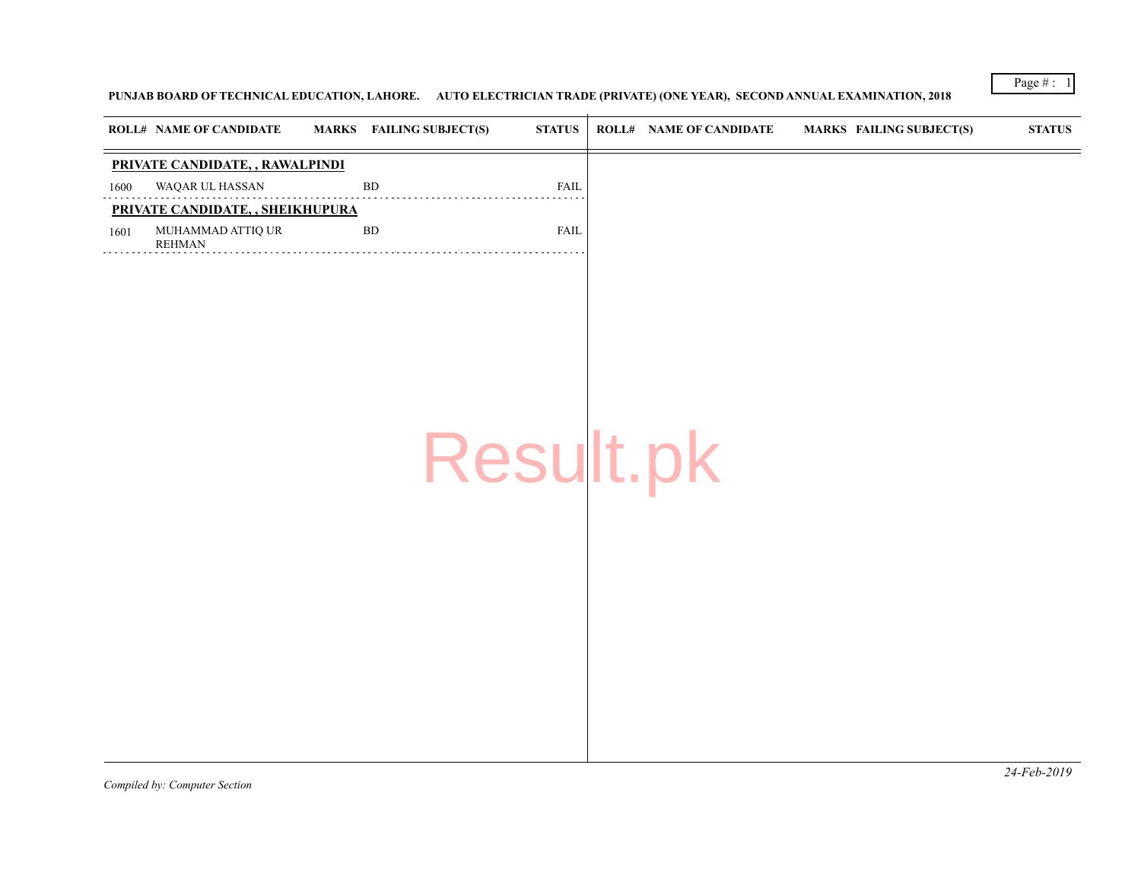## PUNJAB BOARD OF TECHNICAL EDUCATION, LAHORE. AUTO ELECTRICIAN TRADE (PRIVATE) (ONE YEAR), SECOND ANNUAL EXAMIN

|      | <b>ROLL# NAME OF CANDIDATE</b>     | <b>FAILING SUBJECT(S)</b><br><b>MARKS</b> |           | <b>STATUS</b> | <b>ROLL# NAME OF CANDIDATE</b> | <b>MARKS FAIL</b> |
|------|------------------------------------|-------------------------------------------|-----------|---------------|--------------------------------|-------------------|
|      | PRIVATE CANDIDATE, , RAWALPINDI    |                                           |           |               |                                |                   |
| 1600 | WAQAR UL HASSAN                    | ${\rm BD}$                                |           | FAIL          |                                |                   |
|      | PRIVATE CANDIDATE, , SHEIKHUPURA   |                                           |           |               |                                |                   |
| 1601 | MUHAMMAD ATTIQ UR<br><b>REHMAN</b> | ${\rm BD}$                                |           | FAIL          |                                |                   |
|      |                                    |                                           | Result.pk |               |                                |                   |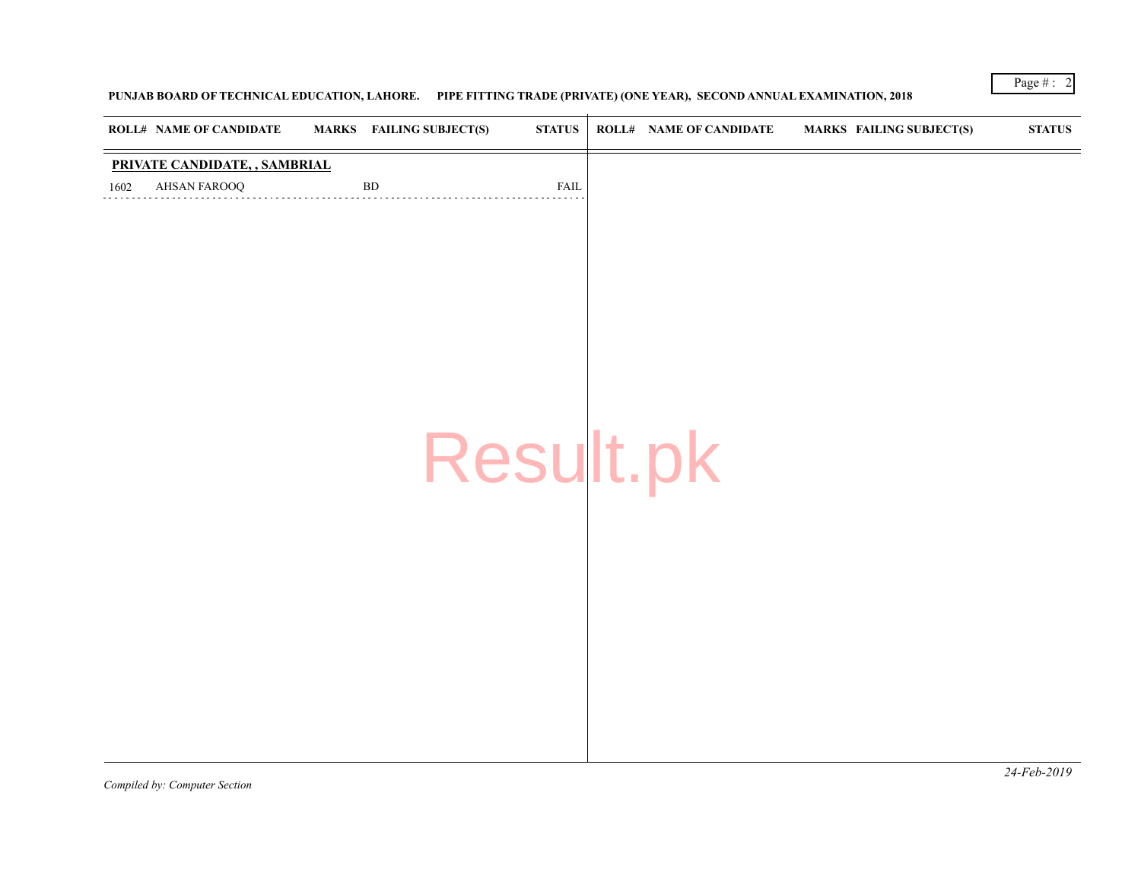## PUNJAB BOARD OF TECHNICAL EDUCATION, LAHORE. PIPE FITTING TRADE (PRIVATE) (ONE YEAR), SECOND ANNUAL EXAMINATION

| <b>ROLL# NAME OF CANDIDATE</b>                        | <b>MARKS</b> FAILING SUBJECT(S) | <b>STATUS</b> | <b>ROLL# NAME OF CANDIDATE</b> | <b>MARKS FAIL</b> |
|-------------------------------------------------------|---------------------------------|---------------|--------------------------------|-------------------|
| PRIVATE CANDIDATE, , SAMBRIAL<br>AHSAN FAROOQ<br>1602 | ${\rm BD}$                      | <b>FAIL</b>   |                                |                   |
|                                                       |                                 |               |                                |                   |
|                                                       |                                 |               |                                |                   |
|                                                       |                                 |               |                                |                   |
|                                                       |                                 | Result.pk     |                                |                   |
|                                                       |                                 |               |                                |                   |
|                                                       |                                 |               |                                |                   |
|                                                       |                                 |               |                                |                   |
|                                                       |                                 |               |                                |                   |

*Compiled by: Computer Section*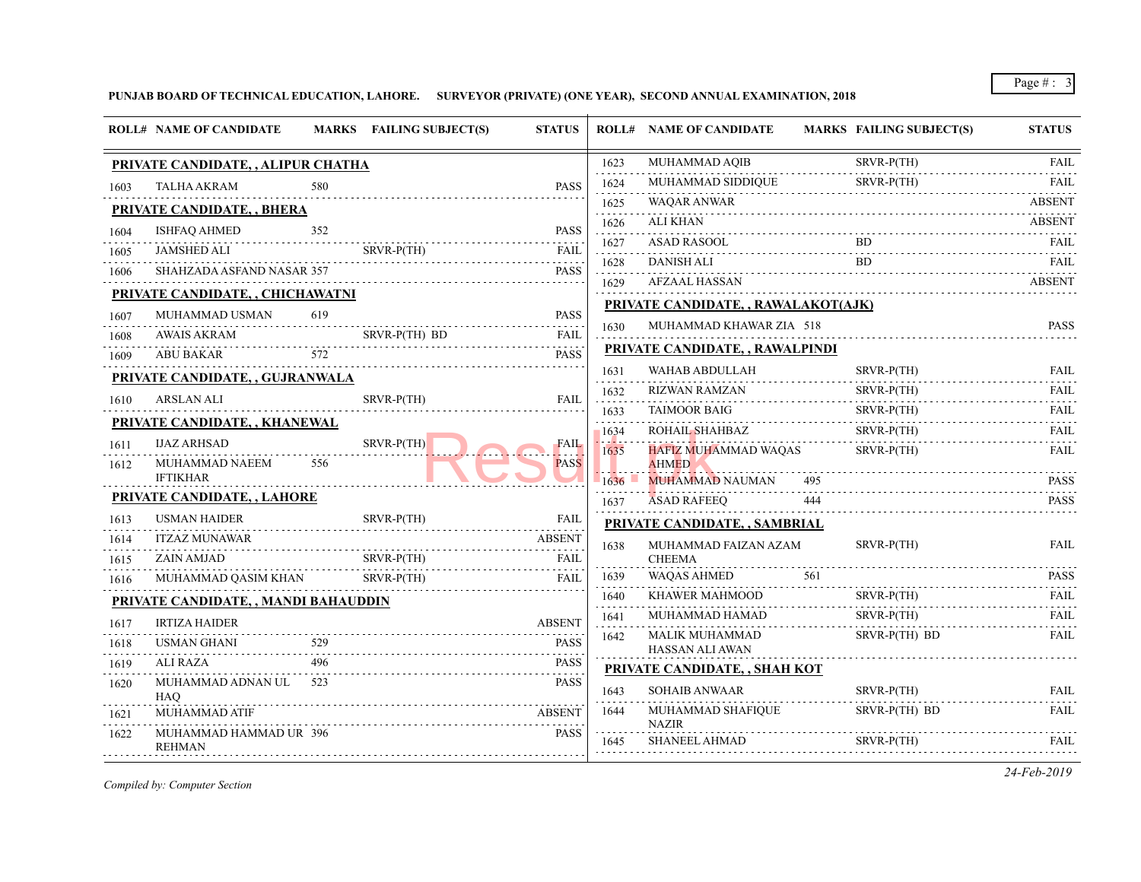## **PUNJAB BOARD OF TECHNICAL EDUCATION, LAHORE. SURVEYOR (PRIVATE) (ONE YEAR), SECOND ANNUAL EXAMINATION, 2018**

|              | <b>ROLL# NAME OF CANDIDATE</b>          |     | MARKS FAILING SUBJECT(S) | <b>STATUS</b>                                     |                                                                                                                                                              | <b>ROLL# NAME OF CANDIDATE</b>                                                                                                       | <b>MARKS FAIL</b> |             |
|--------------|-----------------------------------------|-----|--------------------------|---------------------------------------------------|--------------------------------------------------------------------------------------------------------------------------------------------------------------|--------------------------------------------------------------------------------------------------------------------------------------|-------------------|-------------|
|              | PRIVATE CANDIDATE, , ALIPUR CHATHA      |     |                          |                                                   | 1623                                                                                                                                                         | MUHAMMAD AQIB                                                                                                                        |                   | <b>SRVF</b> |
| 1603         | <b>TALHA AKRAM</b>                      | 580 |                          | <b>PASS</b>                                       | 1624                                                                                                                                                         | MUHAMMAD SIDDIQUE                                                                                                                    |                   | <b>SRVF</b> |
|              | <b>PRIVATE CANDIDATE, , BHERA</b>       |     |                          |                                                   | 1625                                                                                                                                                         | WAQAR ANWAR                                                                                                                          |                   |             |
| 1604         | <b>ISHFAQ AHMED</b>                     | 352 |                          | <b>PASS</b>                                       | 1626                                                                                                                                                         | ALI KHAN                                                                                                                             |                   |             |
| 1605         | <b>JAMSHED ALI</b>                      |     | SRVR-P(TH)               | <b>FAIL</b>                                       | 1627<br>$\frac{1}{2} \left( \frac{1}{2} \right) \left( \frac{1}{2} \right) \left( \frac{1}{2} \right) \left( \frac{1}{2} \right) \left( \frac{1}{2} \right)$ | <b>ASAD RASOOL</b>                                                                                                                   |                   | BD          |
| 1606         | SHAHZADA ASFAND NASAR 357               |     |                          | .<br><b>PASS</b>                                  | 1628                                                                                                                                                         | <b>DANISH ALI</b>                                                                                                                    |                   | <b>BD</b>   |
|              | PRIVATE CANDIDATE, , CHICHAWATNI        |     |                          |                                                   | 1629                                                                                                                                                         | AFZAAL HASSAN                                                                                                                        |                   |             |
| 1607         | MUHAMMAD USMAN                          | 619 |                          | <b>PASS</b>                                       |                                                                                                                                                              | PRIVATE CANDIDATE, , RAWALAKOT(AJK)                                                                                                  |                   |             |
| 1608         | .<br>AWAIS AKRAM                        |     | SRVR-P(TH) BD            | <b>FAIL</b>                                       | 1630                                                                                                                                                         | MUHAMMAD KHAWAR ZIA 518                                                                                                              |                   |             |
| 1609         | ABU BAKAR                               | 572 |                          | $\sim$ $\sim$ $\sim$ $\sim$ $\sim$<br><b>PASS</b> |                                                                                                                                                              | PRIVATE CANDIDATE, , RAWALPINDI                                                                                                      |                   |             |
|              | PRIVATE CANDIDATE, , GUJRANWALA         |     |                          |                                                   | 1631                                                                                                                                                         | WAHAB ABDULLAH                                                                                                                       |                   | <b>SRVF</b> |
|              | ARSLAN ALI                              |     | SRVR-P(TH)               | <b>FAIL</b>                                       | 1632                                                                                                                                                         | RIZWAN RAMZAN<br>and the contract of the contract of the contract of the contract of the contract of the contract of the contract of |                   | <b>SRVF</b> |
| 1610         |                                         |     |                          |                                                   | 1633                                                                                                                                                         | TAIMOOR BAIG                                                                                                                         |                   | <b>SRVF</b> |
|              | PRIVATE CANDIDATE, , KHANEWAL           |     |                          | <b>FAIL</b><br>.<br><b>PASS</b>                   | 1634                                                                                                                                                         | ROHAIL SHAHBAZ                                                                                                                       |                   | <b>SRVF</b> |
| 1611<br>1612 | <b>IJAZ ARHSAD</b><br>MUHAMMAD NAEEM    | 556 | SRVR-P(TH)               |                                                   | 1635                                                                                                                                                         | HAFIZ MUHAMMAD WAQAS<br><b>AHMED</b>                                                                                                 |                   | <b>SRVF</b> |
|              | <b>IFTIKHAR</b>                         |     |                          |                                                   | 1636                                                                                                                                                         | <b>MUHAMMAD NAUMAN</b>                                                                                                               | 495               |             |
|              | PRIVATE CANDIDATE, , LAHORE             |     |                          |                                                   | 1637                                                                                                                                                         | <b>ASAD RAFEEQ</b>                                                                                                                   | 444               |             |
| 1613         | <b>USMAN HAIDER</b>                     |     | SRVR-P(TH)               | <b>FAIL</b>                                       |                                                                                                                                                              | PRIVATE CANDIDATE, , SAMBRIAL                                                                                                        |                   |             |
| 1614         | <b>ITZAZ MUNAWAR</b>                    |     |                          | <b>ABSENT</b>                                     | 1638                                                                                                                                                         | MUHAMMAD FAIZAN AZAM                                                                                                                 |                   | <b>SRVF</b> |
| 1615         | ZAIN AMJAD                              |     | $SRVR-P(TH)$             | <b>FAIL</b>                                       |                                                                                                                                                              | <b>CHEEMA</b>                                                                                                                        |                   |             |
| 1616         | MUHAMMAD QASIM KHAN                     |     | SRVR-P(TH)               | <b>FAIL</b>                                       | 1639                                                                                                                                                         | <b>WAQAS AHMED</b>                                                                                                                   | 561               |             |
|              | PRIVATE CANDIDATE, , MANDI BAHAUDDIN    |     |                          |                                                   | 1640<br>.                                                                                                                                                    | KHAWER MAHMOOD                                                                                                                       |                   | <b>SRVF</b> |
| 1617         | <b>IRTIZA HAIDER</b>                    |     |                          | <b>ABSENT</b>                                     | 1641                                                                                                                                                         | MUHAMMAD HAMAD                                                                                                                       |                   | <b>SRVF</b> |
| 1618         | <b>USMAN GHANI</b>                      | 529 |                          | <b>PASS</b>                                       | 1642                                                                                                                                                         | <b>MALIK MUHAMMAD</b><br>HASSAN ALI AWAN                                                                                             |                   | <b>SRVF</b> |
| 1619         | <b>ALI RAZA</b>                         | 496 |                          | and a state<br><b>PASS</b>                        |                                                                                                                                                              | PRIVATE CANDIDATE, , SHAH KOT                                                                                                        |                   |             |
| 1620         | MUHAMMAD ADNAN UL 523<br>HAO.           |     |                          | <b>PASS</b>                                       | 1643                                                                                                                                                         | <b>SOHAIB ANWAAR</b>                                                                                                                 |                   | <b>SRVF</b> |
| 1621         | <b>MUHAMMAD ATIF</b>                    |     |                          | <b>ABSENT</b>                                     | 1644                                                                                                                                                         | MUHAMMAD SHAFIQUE<br><b>NAZIR</b>                                                                                                    |                   | <b>SRVF</b> |
| 1622         | MUHAMMAD HAMMAD UR 396<br><b>REHMAN</b> |     |                          | <b>PASS</b>                                       | 1645                                                                                                                                                         | <b>SHANEEL AHMAD</b>                                                                                                                 |                   | <b>SRVF</b> |
|              |                                         |     |                          |                                                   |                                                                                                                                                              |                                                                                                                                      |                   |             |

*Compiled by: Computer Section*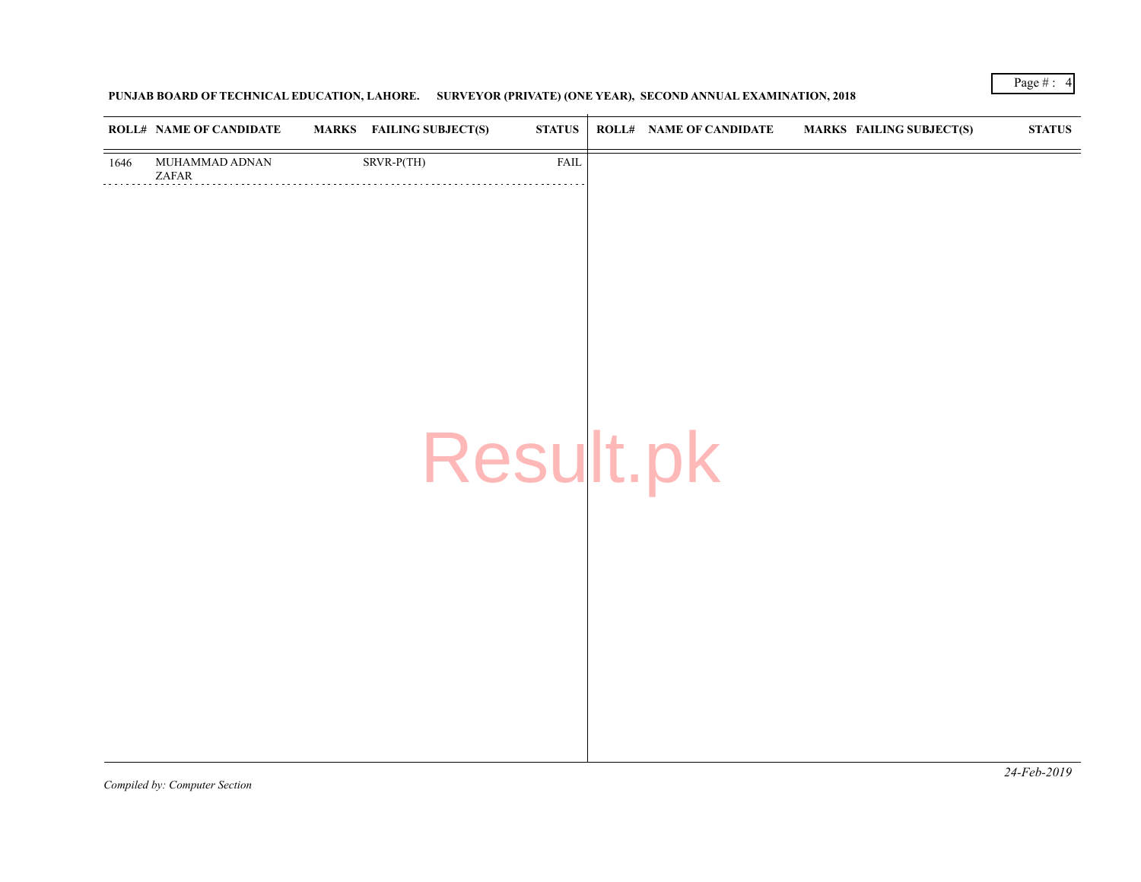# **PUNJAB BOARD OF TECHNICAL EDUCATION, LAHORE. SURVEYOR (PRIVATE) (ONE YEAR), SECOND ANNUAL EXAMINATION, 2018**

| MUHAMMAD ADNAN<br>SRVR-P(TH)<br><b>FAIL</b><br>1646<br>ZAFAR |
|--------------------------------------------------------------|
|                                                              |
| Result.pk                                                    |
|                                                              |

*Compiled by: Computer Section*